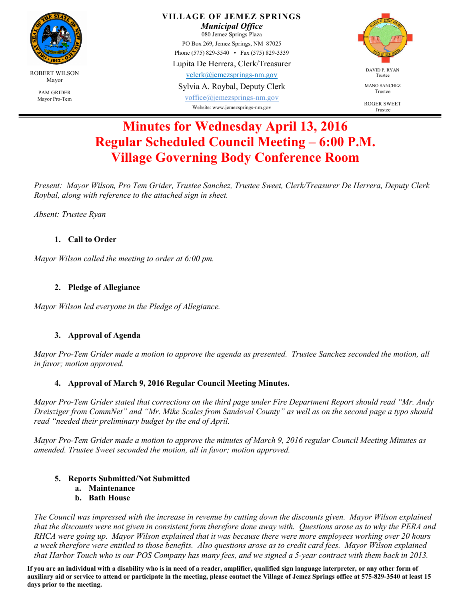

**VILLAGE OF JEMEZ SPRINGS** 

*Municipal Office*  080 Jemez Springs Plaza PO Box 269, Jemez Springs, NM 87025

Phone (575) 829-3540 • Fax (575) 829-3339 Lupita De Herrera, Clerk/Treasurer

vclerk@jemezsprings-nm.gov

Sylvia A. Roybal, Deputy Clerk

voffice@jemezsprings-nm.gov Website: www.jemezsprings-nm.gov



MANO SANCHEZ Trustee

ROGER SWEET Trustee

# **Minutes for Wednesday April 13, 2016 Regular Scheduled Council Meeting – 6:00 P.M. Village Governing Body Conference Room**

*Present: Mayor Wilson, Pro Tem Grider, Trustee Sanchez, Trustee Sweet, Clerk/Treasurer De Herrera, Deputy Clerk Roybal, along with reference to the attached sign in sheet.* 

*Absent: Trustee Ryan* 

## **1. Call to Order**

*Mayor Wilson called the meeting to order at 6:00 pm.* 

## **2. Pledge of Allegiance**

*Mayor Wilson led everyone in the Pledge of Allegiance.* 

## **3. Approval of Agenda**

*Mayor Pro-Tem Grider made a motion to approve the agenda as presented. Trustee Sanchez seconded the motion, all in favor; motion approved.* 

## **4. Approval of March 9, 2016 Regular Council Meeting Minutes.**

*Mayor Pro-Tem Grider stated that corrections on the third page under Fire Department Report should read "Mr. Andy Dreisziger from CommNet" and "Mr. Mike Scales from Sandoval County" as well as on the second page a typo should read "needed their preliminary budget by the end of April.* 

*Mayor Pro-Tem Grider made a motion to approve the minutes of March 9, 2016 regular Council Meeting Minutes as amended. Trustee Sweet seconded the motion, all in favor; motion approved.* 

## **5. Reports Submitted/Not Submitted**

**a. Maintenance** 

#### **b. Bath House**

*The Council was impressed with the increase in revenue by cutting down the discounts given. Mayor Wilson explained that the discounts were not given in consistent form therefore done away with. Questions arose as to why the PERA and RHCA were going up. Mayor Wilson explained that it was because there were more employees working over 20 hours a week therefore were entitled to those benefits. Also questions arose as to credit card fees. Mayor Wilson explained that Harbor Touch who is our POS Company has many fees, and we signed a 5-year contract with them back in 2013.* 

**If you are an individual with a disability who is in need of a reader, amplifier, qualified sign language interpreter, or any other form of auxiliary aid or service to attend or participate in the meeting, please contact the Village of Jemez Springs office at 575-829-3540 at least 15 days prior to the meeting.**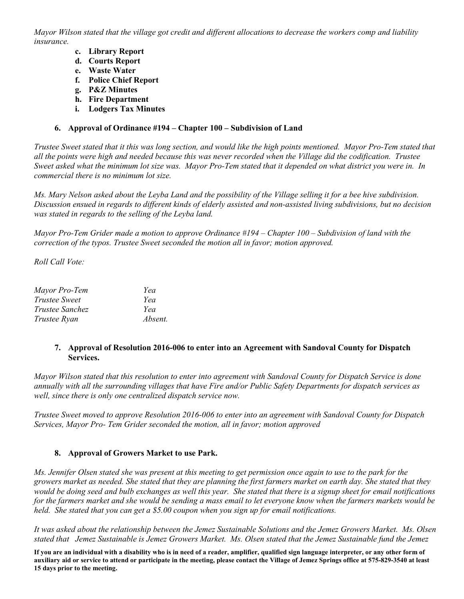*Mayor Wilson stated that the village got credit and different allocations to decrease the workers comp and liability insurance.* 

- **c. Library Report**
- **d. Courts Report**
- **e. Waste Water**
- **f. Police Chief Report**
- **g. P&Z Minutes**
- **h. Fire Department**
- **i. Lodgers Tax Minutes**

#### **6. Approval of Ordinance #194 – Chapter 100 – Subdivision of Land**

*Trustee Sweet stated that it this was long section, and would like the high points mentioned. Mayor Pro-Tem stated that all the points were high and needed because this was never recorded when the Village did the codification. Trustee Sweet asked what the minimum lot size was. Mayor Pro-Tem stated that it depended on what district you were in. In commercial there is no minimum lot size.* 

*Ms. Mary Nelson asked about the Leyba Land and the possibility of the Village selling it for a bee hive subdivision. Discussion ensued in regards to different kinds of elderly assisted and non-assisted living subdivisions, but no decision was stated in regards to the selling of the Leyba land.* 

*Mayor Pro-Tem Grider made a motion to approve Ordinance #194 – Chapter 100 – Subdivision of land with the correction of the typos. Trustee Sweet seconded the motion all in favor; motion approved.* 

*Roll Call Vote:* 

| Mayor Pro-Tem   | Yea     |
|-----------------|---------|
| Trustee Sweet   | Yea     |
| Trustee Sanchez | Yea     |
| Trustee Ryan    | Absent. |

#### **7. Approval of Resolution 2016-006 to enter into an Agreement with Sandoval County for Dispatch Services.**

*Mayor Wilson stated that this resolution to enter into agreement with Sandoval County for Dispatch Service is done annually with all the surrounding villages that have Fire and/or Public Safety Departments for dispatch services as well, since there is only one centralized dispatch service now.* 

*Trustee Sweet moved to approve Resolution 2016-006 to enter into an agreement with Sandoval County for Dispatch Services, Mayor Pro- Tem Grider seconded the motion, all in favor; motion approved* 

#### **8. Approval of Growers Market to use Park.**

*Ms. Jennifer Olsen stated she was present at this meeting to get permission once again to use to the park for the growers market as needed. She stated that they are planning the first farmers market on earth day. She stated that they would be doing seed and bulb exchanges as well this year. She stated that there is a signup sheet for email notifications for the farmers market and she would be sending a mass email to let everyone know when the farmers markets would be held. She stated that you can get a \$5.00 coupon when you sign up for email notifications.* 

*It was asked about the relationship between the Jemez Sustainable Solutions and the Jemez Growers Market. Ms. Olsen stated that Jemez Sustainable is Jemez Growers Market. Ms. Olsen stated that the Jemez Sustainable fund the Jemez* 

**If you are an individual with a disability who is in need of a reader, amplifier, qualified sign language interpreter, or any other form of auxiliary aid or service to attend or participate in the meeting, please contact the Village of Jemez Springs office at 575-829-3540 at least 15 days prior to the meeting.**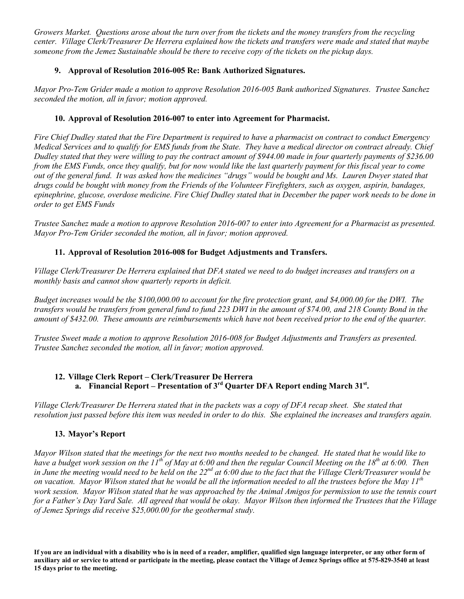*Growers Market. Questions arose about the turn over from the tickets and the money transfers from the recycling center. Village Clerk/Treasurer De Herrera explained how the tickets and transfers were made and stated that maybe someone from the Jemez Sustainable should be there to receive copy of the tickets on the pickup days.* 

## **9. Approval of Resolution 2016-005 Re: Bank Authorized Signatures.**

*Mayor Pro-Tem Grider made a motion to approve Resolution 2016-005 Bank authorized Signatures. Trustee Sanchez seconded the motion, all in favor; motion approved.*

## **10. Approval of Resolution 2016-007 to enter into Agreement for Pharmacist.**

*Fire Chief Dudley stated that the Fire Department is required to have a pharmacist on contract to conduct Emergency Medical Services and to qualify for EMS funds from the State. They have a medical director on contract already. Chief Dudley stated that they were willing to pay the contract amount of \$944.00 made in four quarterly payments of \$236.00 from the EMS Funds, once they qualify, but for now would like the last quarterly payment for this fiscal year to come*  out of the general fund. It was asked how the medicines "drugs" would be bought and Ms. Lauren Dwyer stated that *drugs could be bought with money from the Friends of the Volunteer Firefighters, such as oxygen, aspirin, bandages, epinephrine, glucose, overdose medicine. Fire Chief Dudley stated that in December the paper work needs to be done in order to get EMS Funds* 

*Trustee Sanchez made a motion to approve Resolution 2016-007 to enter into Agreement for a Pharmacist as presented. Mayor Pro-Tem Grider seconded the motion, all in favor; motion approved.* 

## **11. Approval of Resolution 2016-008 for Budget Adjustments and Transfers.**

*Village Clerk/Treasurer De Herrera explained that DFA stated we need to do budget increases and transfers on a monthly basis and cannot show quarterly reports in deficit.* 

*Budget increases would be the \$100,000.00 to account for the fire protection grant, and \$4,000.00 for the DWI. The transfers would be transfers from general fund to fund 223 DWI in the amount of \$74.00, and 218 County Bond in the amount of \$432.00. These amounts are reimbursements which have not been received prior to the end of the quarter.* 

*Trustee Sweet made a motion to approve Resolution 2016-008 for Budget Adjustments and Transfers as presented. Trustee Sanchez seconded the motion, all in favor; motion approved.* 

#### **12. Village Clerk Report – Clerk/Treasurer De Herrera a. Financial Report – Presentation of 3rd Quarter DFA Report ending March 31st .**

*Village Clerk/Treasurer De Herrera stated that in the packets was a copy of DFA recap sheet. She stated that resolution just passed before this item was needed in order to do this. She explained the increases and transfers again.* 

#### **13. Mayor's Report**

*Mayor Wilson stated that the meetings for the next two months needed to be changed. He stated that he would like to have a budget work session on the 11th of May at 6:00 and then the regular Council Meeting on the 18th at 6:00. Then in June the meeting would need to be held on the 22nd at 6:00 due to the fact that the Village Clerk/Treasurer would be on vacation. Mayor Wilson stated that he would be all the information needed to all the trustees before the May 11th* work session. Mayor Wilson stated that he was approached by the Animal Amigos for permission to use the tennis court *for a Father's Day Yard Sale. All agreed that would be okay. Mayor Wilson then informed the Trustees that the Village of Jemez Springs did receive \$25,000.00 for the geothermal study.* 

**If you are an individual with a disability who is in need of a reader, amplifier, qualified sign language interpreter, or any other form of auxiliary aid or service to attend or participate in the meeting, please contact the Village of Jemez Springs office at 575-829-3540 at least 15 days prior to the meeting.**